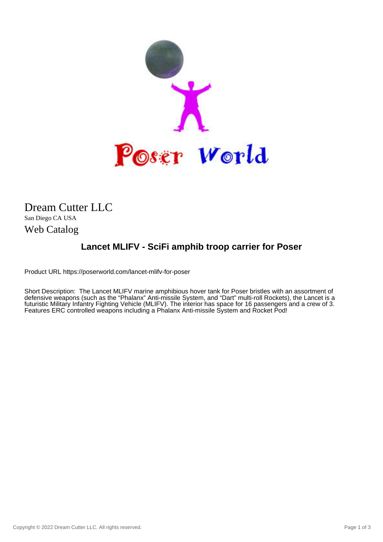

## Dream Cutter LLC San Diego CA USA Web Catalog

## **Lancet MLIFV - SciFi amphib troop carrier for Poser**

Product URL https://poserworld.com/lancet-mlifv-for-poser

Short Description: The Lancet MLIFV marine amphibious hover tank for Poser bristles with an assortment of defensive weapons (such as the "Phalanx" Anti-missile System, and "Dart" multi-roll Rockets), the Lancet is a futuristic Military Infantry Fighting Vehicle (MLIFV). The interior has space for 16 passengers and a crew of 3. Features ERC controlled weapons including a Phalanx Anti-missile System and Rocket Pod!